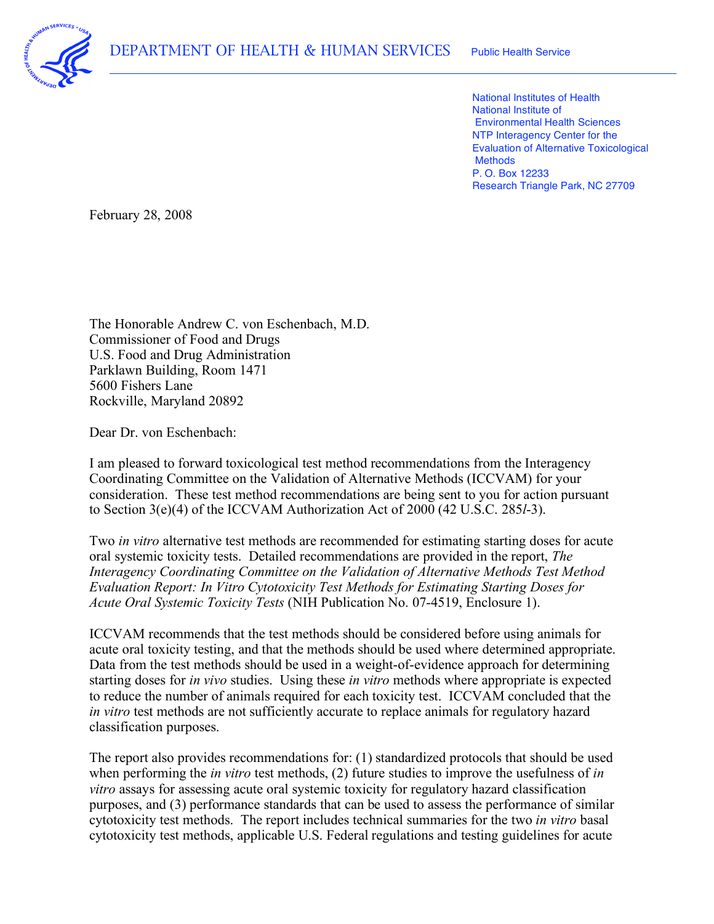

 National Institutes of Health National Institute of Environmental Health Sciences NTP Interagency Center for the Evaluation of Alternative Toxicological P. O. Box 12233 Research Triangle Park, NC 27709 **Methods** 

February 28, 2008

 The Honorable Andrew C. von Eschenbach, M.D. Commissioner of Food and Drugs U.S. Food and Drug Administration Parklawn Building, Room 1471 5600 Fishers Lane Rockville, Maryland 20892

Dear Dr. von Eschenbach:

 I am pleased to forward toxicological test method recommendations from the Interagency Coordinating Committee on the Validation of Alternative Methods (ICCVAM) for your consideration. These test method recommendations are being sent to you for action pursuant to Section 3(e)(4) of the ICCVAM Authorization Act of 2000 (42 U.S.C. 285*l*-3).

 Two *in vitro* alternative test methods are recommended for estimating starting doses for acute oral systemic toxicity tests. Detailed recommendations are provided in the report, *The Interagency Coordinating Committee on the Validation of Alternative Methods Test Method Evaluation Report: In Vitro Cytotoxicity Test Methods for Estimating Starting Doses for Acute Oral Systemic Toxicity Tests* (NIH Publication No. 07-4519, Enclosure 1).

 ICCVAM recommends that the test methods should be considered before using animals for acute oral toxicity testing, and that the methods should be used where determined appropriate. Data from the test methods should be used in a weight-of-evidence approach for determining starting doses for *in vivo* studies. Using these *in vitro* methods where appropriate is expected to reduce the number of animals required for each toxicity test. ICCVAM concluded that the *in vitro* test methods are not sufficiently accurate to replace animals for regulatory hazard classification purposes.

 The report also provides recommendations for: (1) standardized protocols that should be used when performing the *in vitro* test methods, (2) future studies to improve the usefulness of *in vitro* assays for assessing acute oral systemic toxicity for regulatory hazard classification purposes, and (3) performance standards that can be used to assess the performance of similar cytotoxicity test methods. The report includes technical summaries for the two *in vitro* basal cytotoxicity test methods, applicable U.S. Federal regulations and testing guidelines for acute